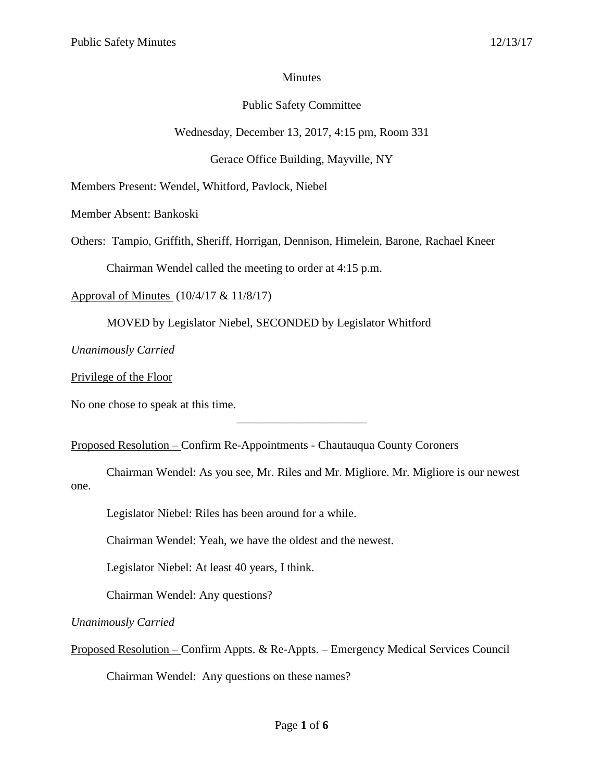## Minutes

# Public Safety Committee

Wednesday, December 13, 2017, 4:15 pm, Room 331

Gerace Office Building, Mayville, NY

Members Present: Wendel, Whitford, Pavlock, Niebel

Member Absent: Bankoski

Others: Tampio, Griffith, Sheriff, Horrigan, Dennison, Himelein, Barone, Rachael Kneer

Chairman Wendel called the meeting to order at 4:15 p.m.

Approval of Minutes (10/4/17 & 11/8/17)

MOVED by Legislator Niebel, SECONDED by Legislator Whitford

*Unanimously Carried*

Privilege of the Floor

No one chose to speak at this time.

Proposed Resolution – Confirm Re-Appointments - Chautauqua County Coroners

Chairman Wendel: As you see, Mr. Riles and Mr. Migliore. Mr. Migliore is our newest one.

\_\_\_\_\_\_\_\_\_\_\_\_\_\_\_\_\_\_\_\_\_\_

Legislator Niebel: Riles has been around for a while.

Chairman Wendel: Yeah, we have the oldest and the newest.

Legislator Niebel: At least 40 years, I think.

Chairman Wendel: Any questions?

*Unanimously Carried*

Proposed Resolution – Confirm Appts. & Re-Appts. – Emergency Medical Services Council

Chairman Wendel: Any questions on these names?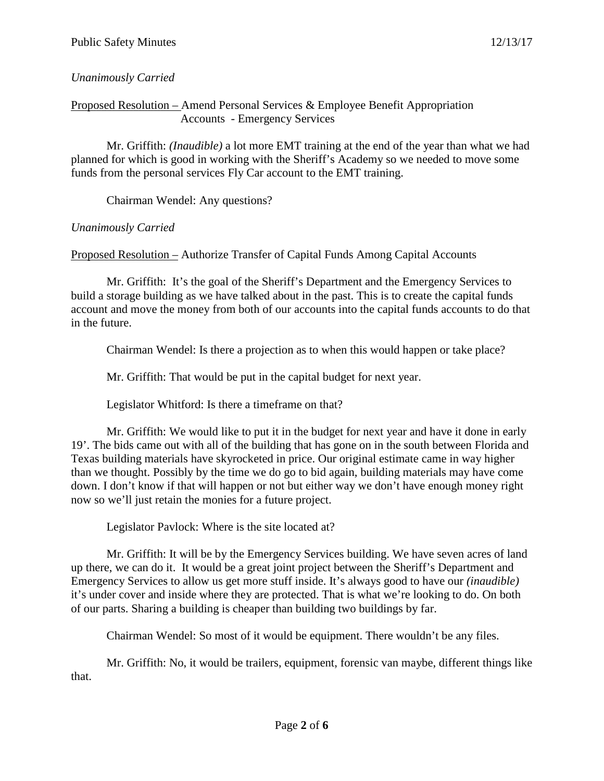## *Unanimously Carried*

#### Proposed Resolution – Amend Personal Services & Employee Benefit Appropriation Accounts - Emergency Services

Mr. Griffith: *(Inaudible)* a lot more EMT training at the end of the year than what we had planned for which is good in working with the Sheriff's Academy so we needed to move some funds from the personal services Fly Car account to the EMT training.

Chairman Wendel: Any questions?

## *Unanimously Carried*

Proposed Resolution – Authorize Transfer of Capital Funds Among Capital Accounts

Mr. Griffith: It's the goal of the Sheriff's Department and the Emergency Services to build a storage building as we have talked about in the past. This is to create the capital funds account and move the money from both of our accounts into the capital funds accounts to do that in the future.

Chairman Wendel: Is there a projection as to when this would happen or take place?

Mr. Griffith: That would be put in the capital budget for next year.

Legislator Whitford: Is there a timeframe on that?

Mr. Griffith: We would like to put it in the budget for next year and have it done in early 19'. The bids came out with all of the building that has gone on in the south between Florida and Texas building materials have skyrocketed in price. Our original estimate came in way higher than we thought. Possibly by the time we do go to bid again, building materials may have come down. I don't know if that will happen or not but either way we don't have enough money right now so we'll just retain the monies for a future project.

Legislator Pavlock: Where is the site located at?

Mr. Griffith: It will be by the Emergency Services building. We have seven acres of land up there, we can do it. It would be a great joint project between the Sheriff's Department and Emergency Services to allow us get more stuff inside. It's always good to have our *(inaudible)* it's under cover and inside where they are protected. That is what we're looking to do. On both of our parts. Sharing a building is cheaper than building two buildings by far.

Chairman Wendel: So most of it would be equipment. There wouldn't be any files.

Mr. Griffith: No, it would be trailers, equipment, forensic van maybe, different things like that.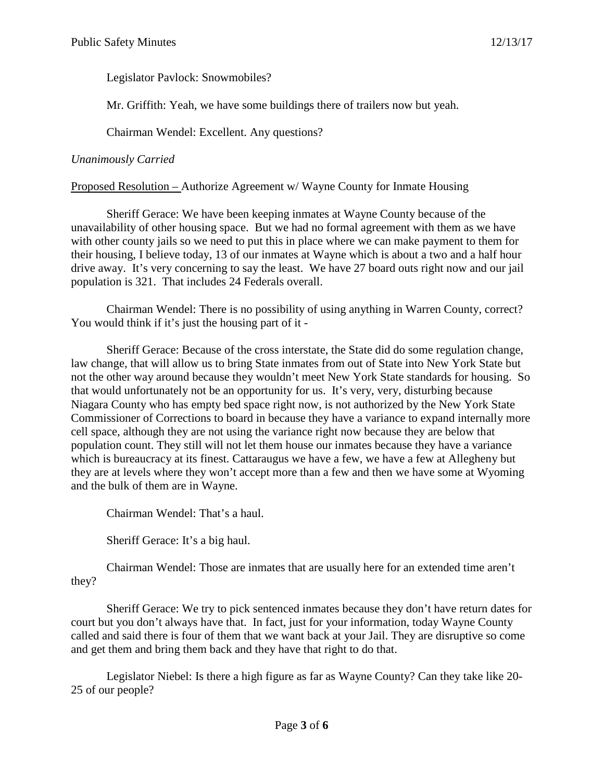Legislator Pavlock: Snowmobiles?

Mr. Griffith: Yeah, we have some buildings there of trailers now but yeah.

Chairman Wendel: Excellent. Any questions?

### *Unanimously Carried*

Proposed Resolution – Authorize Agreement w/ Wayne County for Inmate Housing

Sheriff Gerace: We have been keeping inmates at Wayne County because of the unavailability of other housing space. But we had no formal agreement with them as we have with other county jails so we need to put this in place where we can make payment to them for their housing, I believe today, 13 of our inmates at Wayne which is about a two and a half hour drive away. It's very concerning to say the least. We have 27 board outs right now and our jail population is 321. That includes 24 Federals overall.

Chairman Wendel: There is no possibility of using anything in Warren County, correct? You would think if it's just the housing part of it -

Sheriff Gerace: Because of the cross interstate, the State did do some regulation change, law change, that will allow us to bring State inmates from out of State into New York State but not the other way around because they wouldn't meet New York State standards for housing. So that would unfortunately not be an opportunity for us. It's very, very, disturbing because Niagara County who has empty bed space right now, is not authorized by the New York State Commissioner of Corrections to board in because they have a variance to expand internally more cell space, although they are not using the variance right now because they are below that population count. They still will not let them house our inmates because they have a variance which is bureaucracy at its finest. Cattaraugus we have a few, we have a few at Allegheny but they are at levels where they won't accept more than a few and then we have some at Wyoming and the bulk of them are in Wayne.

Chairman Wendel: That's a haul.

Sheriff Gerace: It's a big haul.

Chairman Wendel: Those are inmates that are usually here for an extended time aren't they?

Sheriff Gerace: We try to pick sentenced inmates because they don't have return dates for court but you don't always have that. In fact, just for your information, today Wayne County called and said there is four of them that we want back at your Jail. They are disruptive so come and get them and bring them back and they have that right to do that.

Legislator Niebel: Is there a high figure as far as Wayne County? Can they take like 20- 25 of our people?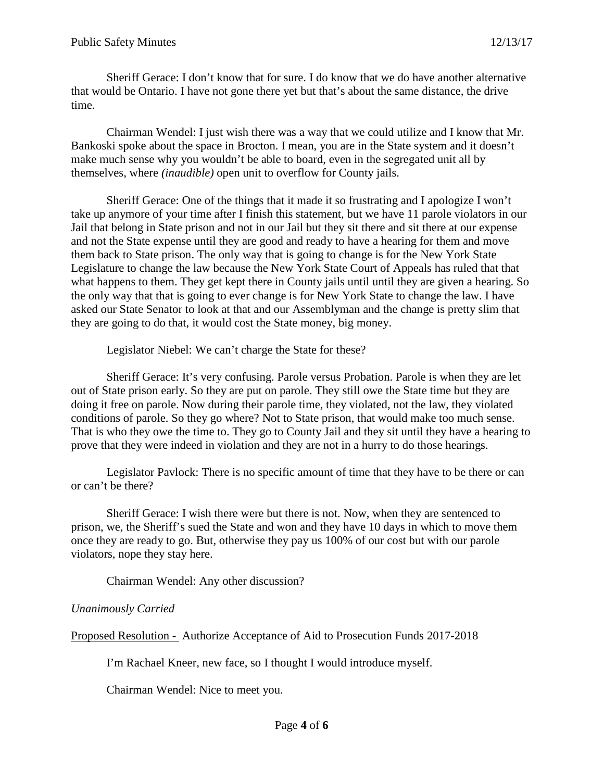Sheriff Gerace: I don't know that for sure. I do know that we do have another alternative that would be Ontario. I have not gone there yet but that's about the same distance, the drive time.

Chairman Wendel: I just wish there was a way that we could utilize and I know that Mr. Bankoski spoke about the space in Brocton. I mean, you are in the State system and it doesn't make much sense why you wouldn't be able to board, even in the segregated unit all by themselves, where *(inaudible)* open unit to overflow for County jails.

Sheriff Gerace: One of the things that it made it so frustrating and I apologize I won't take up anymore of your time after I finish this statement, but we have 11 parole violators in our Jail that belong in State prison and not in our Jail but they sit there and sit there at our expense and not the State expense until they are good and ready to have a hearing for them and move them back to State prison. The only way that is going to change is for the New York State Legislature to change the law because the New York State Court of Appeals has ruled that that what happens to them. They get kept there in County jails until until they are given a hearing. So the only way that that is going to ever change is for New York State to change the law. I have asked our State Senator to look at that and our Assemblyman and the change is pretty slim that they are going to do that, it would cost the State money, big money.

Legislator Niebel: We can't charge the State for these?

Sheriff Gerace: It's very confusing. Parole versus Probation. Parole is when they are let out of State prison early. So they are put on parole. They still owe the State time but they are doing it free on parole. Now during their parole time, they violated, not the law, they violated conditions of parole. So they go where? Not to State prison, that would make too much sense. That is who they owe the time to. They go to County Jail and they sit until they have a hearing to prove that they were indeed in violation and they are not in a hurry to do those hearings.

Legislator Pavlock: There is no specific amount of time that they have to be there or can or can't be there?

Sheriff Gerace: I wish there were but there is not. Now, when they are sentenced to prison, we, the Sheriff's sued the State and won and they have 10 days in which to move them once they are ready to go. But, otherwise they pay us 100% of our cost but with our parole violators, nope they stay here.

Chairman Wendel: Any other discussion?

# *Unanimously Carried*

Proposed Resolution - Authorize Acceptance of Aid to Prosecution Funds 2017-2018

I'm Rachael Kneer, new face, so I thought I would introduce myself.

Chairman Wendel: Nice to meet you.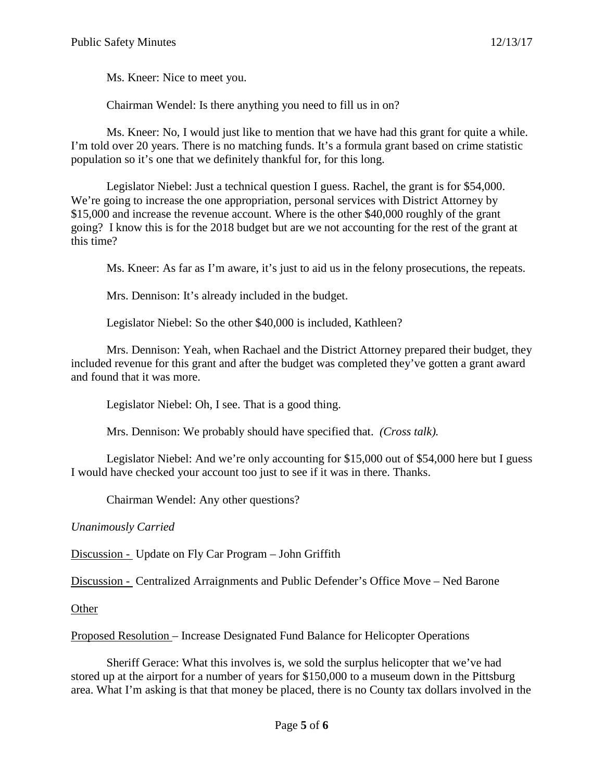Ms. Kneer: Nice to meet you.

Chairman Wendel: Is there anything you need to fill us in on?

Ms. Kneer: No, I would just like to mention that we have had this grant for quite a while. I'm told over 20 years. There is no matching funds. It's a formula grant based on crime statistic population so it's one that we definitely thankful for, for this long.

Legislator Niebel: Just a technical question I guess. Rachel, the grant is for \$54,000. We're going to increase the one appropriation, personal services with District Attorney by \$15,000 and increase the revenue account. Where is the other \$40,000 roughly of the grant going? I know this is for the 2018 budget but are we not accounting for the rest of the grant at this time?

Ms. Kneer: As far as I'm aware, it's just to aid us in the felony prosecutions, the repeats.

Mrs. Dennison: It's already included in the budget.

Legislator Niebel: So the other \$40,000 is included, Kathleen?

Mrs. Dennison: Yeah, when Rachael and the District Attorney prepared their budget, they included revenue for this grant and after the budget was completed they've gotten a grant award and found that it was more.

Legislator Niebel: Oh, I see. That is a good thing.

Mrs. Dennison: We probably should have specified that. *(Cross talk).*

Legislator Niebel: And we're only accounting for \$15,000 out of \$54,000 here but I guess I would have checked your account too just to see if it was in there. Thanks.

Chairman Wendel: Any other questions?

*Unanimously Carried*

Discussion - Update on Fly Car Program – John Griffith

Discussion - Centralized Arraignments and Public Defender's Office Move – Ned Barone

**Other** 

Proposed Resolution – Increase Designated Fund Balance for Helicopter Operations

Sheriff Gerace: What this involves is, we sold the surplus helicopter that we've had stored up at the airport for a number of years for \$150,000 to a museum down in the Pittsburg area. What I'm asking is that that money be placed, there is no County tax dollars involved in the